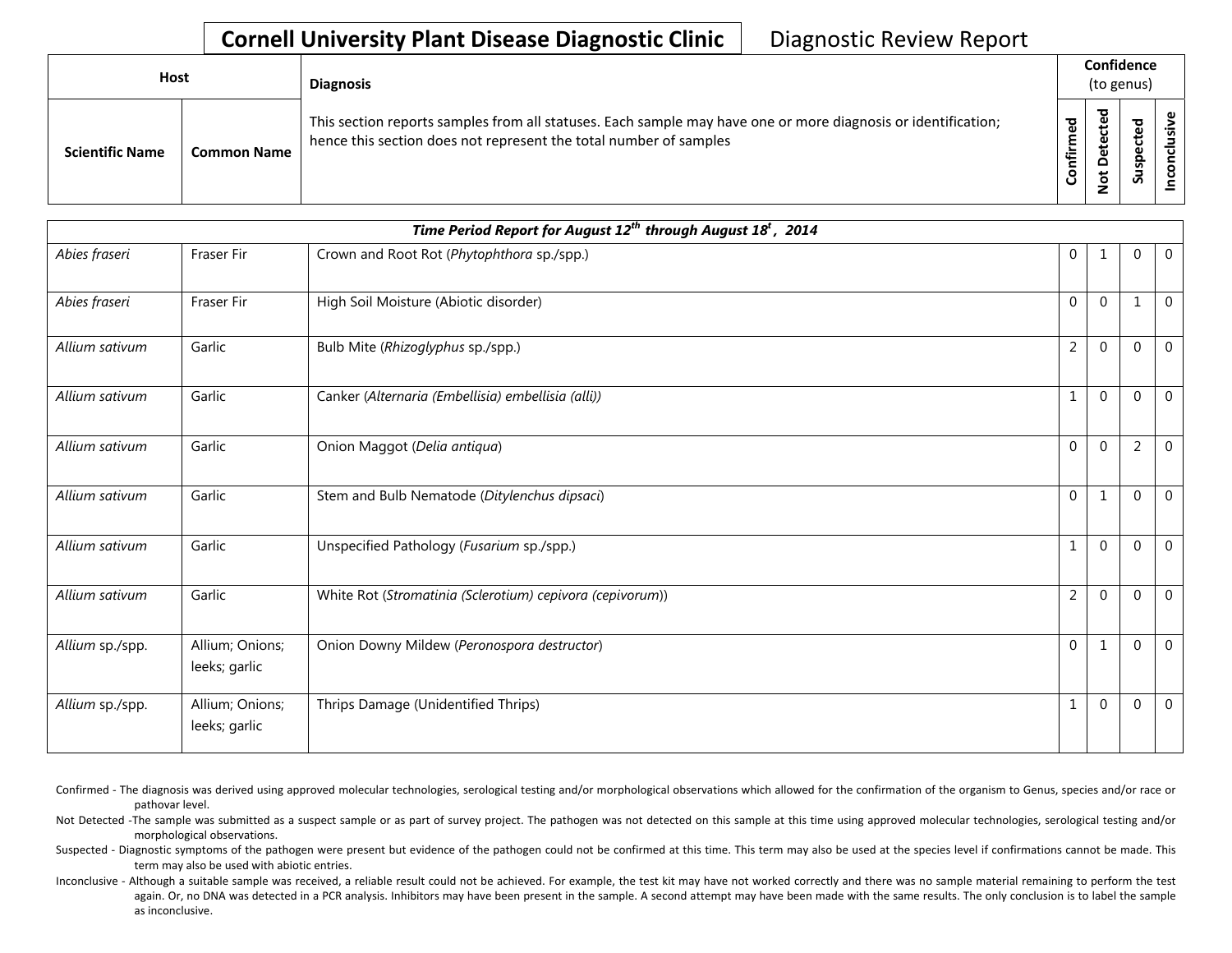| Host                   |                    | <b>Diagnosis</b>                                                                                                                                                                   |                       | Confidence<br>(to genus)                       |                       |  |  |  |
|------------------------|--------------------|------------------------------------------------------------------------------------------------------------------------------------------------------------------------------------|-----------------------|------------------------------------------------|-----------------------|--|--|--|
| <b>Scientific Name</b> | <b>Common Name</b> | This section reports samples from all statuses. Each sample may have one or more diagnosis or identification;<br>hence this section does not represent the total number of samples | ್ಠಾ<br>Ē<br>'nĨr<br>ပ | ъ<br>م ب<br>ں<br>ይ<br>۵<br>۵<br>پ<br>$\dot{ }$ | ठ<br>ö<br>으<br>s<br>S |  |  |  |

| Time Period Report for August $12^{th}$ through August $18^{t}$ , 2014 |                                  |                                                           |                |              |              |                |  |  |  |
|------------------------------------------------------------------------|----------------------------------|-----------------------------------------------------------|----------------|--------------|--------------|----------------|--|--|--|
| Abies fraseri                                                          | <b>Fraser Fir</b>                | Crown and Root Rot (Phytophthora sp./spp.)                | $\overline{0}$ | 1            | 0            | $\overline{0}$ |  |  |  |
| Abies fraseri                                                          | Fraser Fir                       | High Soil Moisture (Abiotic disorder)                     | $\Omega$       | $\Omega$     | 1            | $\mathbf{0}$   |  |  |  |
| Allium sativum                                                         | Garlic                           | Bulb Mite (Rhizoglyphus sp./spp.)                         | $\overline{2}$ | $\Omega$     | $\mathbf 0$  | $\mathbf 0$    |  |  |  |
| Allium sativum                                                         | Garlic                           | Canker (Alternaria (Embellisia) embellisia (alli))        | 1              | $\Omega$     | 0            | $\overline{0}$ |  |  |  |
| Allium sativum                                                         | Garlic                           | Onion Maggot (Delia antiqua)                              | $\Omega$       | $\Omega$     | 2            | $\mathbf 0$    |  |  |  |
| Allium sativum                                                         | Garlic                           | Stem and Bulb Nematode (Ditylenchus dipsaci)              | $\Omega$       | 1            | $\mathbf 0$  | $\mathbf 0$    |  |  |  |
| Allium sativum                                                         | Garlic                           | Unspecified Pathology (Fusarium sp./spp.)                 | $\mathbf 1$    | $\mathbf{0}$ | $\mathbf 0$  | $\overline{0}$ |  |  |  |
| Allium sativum                                                         | Garlic                           | White Rot (Stromatinia (Sclerotium) cepivora (cepivorum)) | $\overline{2}$ | $\Omega$     | $\mathbf 0$  | $\overline{0}$ |  |  |  |
| Allium sp./spp.                                                        | Allium; Onions;<br>leeks; garlic | Onion Downy Mildew (Peronospora destructor)               | $\Omega$       | 1            | $\mathbf{0}$ | $\overline{0}$ |  |  |  |
| Allium sp./spp.                                                        | Allium; Onions;<br>leeks; garlic | Thrips Damage (Unidentified Thrips)                       | 1              | $\Omega$     | 0            | $\overline{0}$ |  |  |  |

- Confirmed The diagnosis was derived using approved molecular technologies, serological testing and/or morphological observations which allowed for the confirmation of the organism to Genus, species and/or race or pathovar level.
- Not Detected -The sample was submitted as a suspect sample or as part of survey project. The pathogen was not detected on this sample at this time using approved molecular technologies, serological testing and/or morphological observations.
- Suspected Diagnostic symptoms of the pathogen were present but evidence of the pathogen could not be confirmed at this time. This term may also be used at the species level if confirmations cannot be made. This term may also be used with abiotic entries.
- Inconclusive Although a suitable sample was received, a reliable result could not be achieved. For example, the test kit may have not worked correctly and there was no sample material remaining to perform the test again. Or, no DNA was detected in a PCR analysis. Inhibitors may have been present in the sample. A second attempt may have been made with the same results. The only conclusion is to label the sample as inconclusive.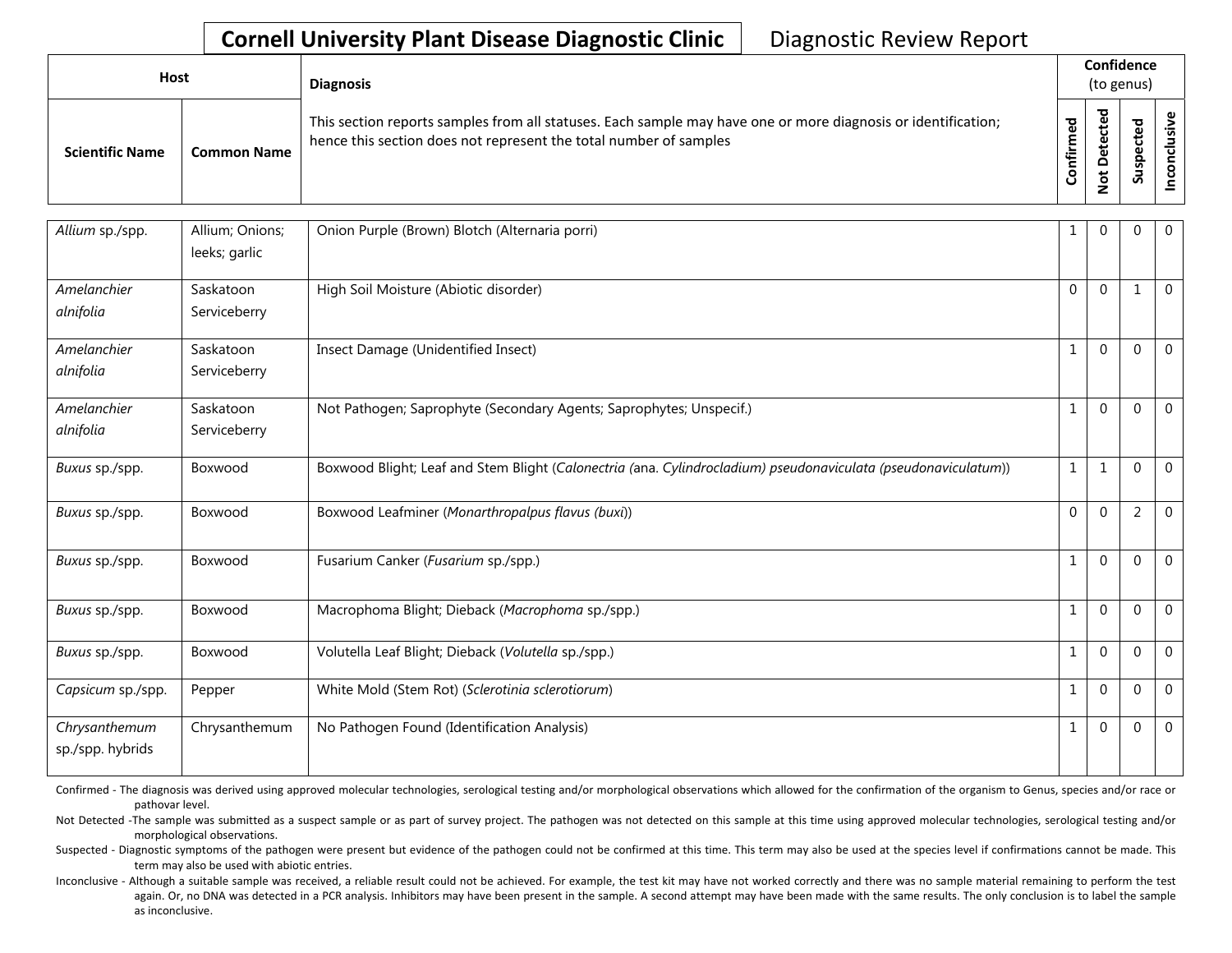| Host                   |                    | <b>Diagnosis</b>                                                                                                                                                                   |             | Confidence<br>(to genus) |   |  |  |  |
|------------------------|--------------------|------------------------------------------------------------------------------------------------------------------------------------------------------------------------------------|-------------|--------------------------|---|--|--|--|
| <b>Scientific Name</b> | <b>Common Name</b> | This section reports samples from all statuses. Each sample may have one or more diagnosis or identification;<br>hence this section does not represent the total number of samples | ठ<br>onfirm | ᅙ<br>₽                   | S |  |  |  |

| Allium sp./spp.                   | Allium; Onions;<br>leeks; garlic | Onion Purple (Brown) Blotch (Alternaria porri)                                                                 | 1            | 0            | $\Omega$       | $\overline{0}$ |
|-----------------------------------|----------------------------------|----------------------------------------------------------------------------------------------------------------|--------------|--------------|----------------|----------------|
| Amelanchier<br>alnifolia          | Saskatoon<br>Serviceberry        | High Soil Moisture (Abiotic disorder)                                                                          | 0            | $\Omega$     | 1              | $\overline{0}$ |
| Amelanchier<br>alnifolia          | Saskatoon<br>Serviceberry        | Insect Damage (Unidentified Insect)                                                                            | 1            | $\Omega$     | $\Omega$       | $\overline{0}$ |
| Amelanchier<br>alnifolia          | Saskatoon<br>Serviceberry        | Not Pathogen; Saprophyte (Secondary Agents; Saprophytes; Unspecif.)                                            | $\mathbf{1}$ | $\Omega$     | $\overline{0}$ | $\overline{0}$ |
| Buxus sp./spp.                    | Boxwood                          | Boxwood Blight; Leaf and Stem Blight (Calonectria (ana. Cylindrocladium) pseudonaviculata (pseudonaviculatum)) | $\mathbf{1}$ | $\mathbf{1}$ | $\Omega$       | $\mathbf 0$    |
| Buxus sp./spp.                    | Boxwood                          | Boxwood Leafminer (Monarthropalpus flavus (buxi))                                                              | 0            | $\Omega$     | $\overline{2}$ | $\overline{0}$ |
| Buxus sp./spp.                    | Boxwood                          | Fusarium Canker (Fusarium sp./spp.)                                                                            | $\mathbf{1}$ | $\Omega$     | $\Omega$       | $\overline{0}$ |
| Buxus sp./spp.                    | Boxwood                          | Macrophoma Blight; Dieback (Macrophoma sp./spp.)                                                               | $\mathbf{1}$ | $\Omega$     | $\Omega$       | $\overline{0}$ |
| Buxus sp./spp.                    | Boxwood                          | Volutella Leaf Blight; Dieback (Volutella sp./spp.)                                                            | $\mathbf{1}$ | $\Omega$     | $\mathbf{0}$   | $\overline{0}$ |
| Capsicum sp./spp.                 | Pepper                           | White Mold (Stem Rot) (Sclerotinia sclerotiorum)                                                               | 1            | $\Omega$     | $\mathbf{0}$   | $\overline{0}$ |
| Chrysanthemum<br>sp./spp. hybrids | Chrysanthemum                    | No Pathogen Found (Identification Analysis)                                                                    | 1            | $\Omega$     | $\Omega$       | $\overline{0}$ |

Confirmed - The diagnosis was derived using approved molecular technologies, serological testing and/or morphological observations which allowed for the confirmation of the organism to Genus, species and/or race or pathovar level.

Not Detected -The sample was submitted as a suspect sample or as part of survey project. The pathogen was not detected on this sample at this time using approved molecular technologies, serological testing and/or morphological observations.

Suspected - Diagnostic symptoms of the pathogen were present but evidence of the pathogen could not be confirmed at this time. This term may also be used at the species level if confirmations cannot be made. This term may also be used with abiotic entries.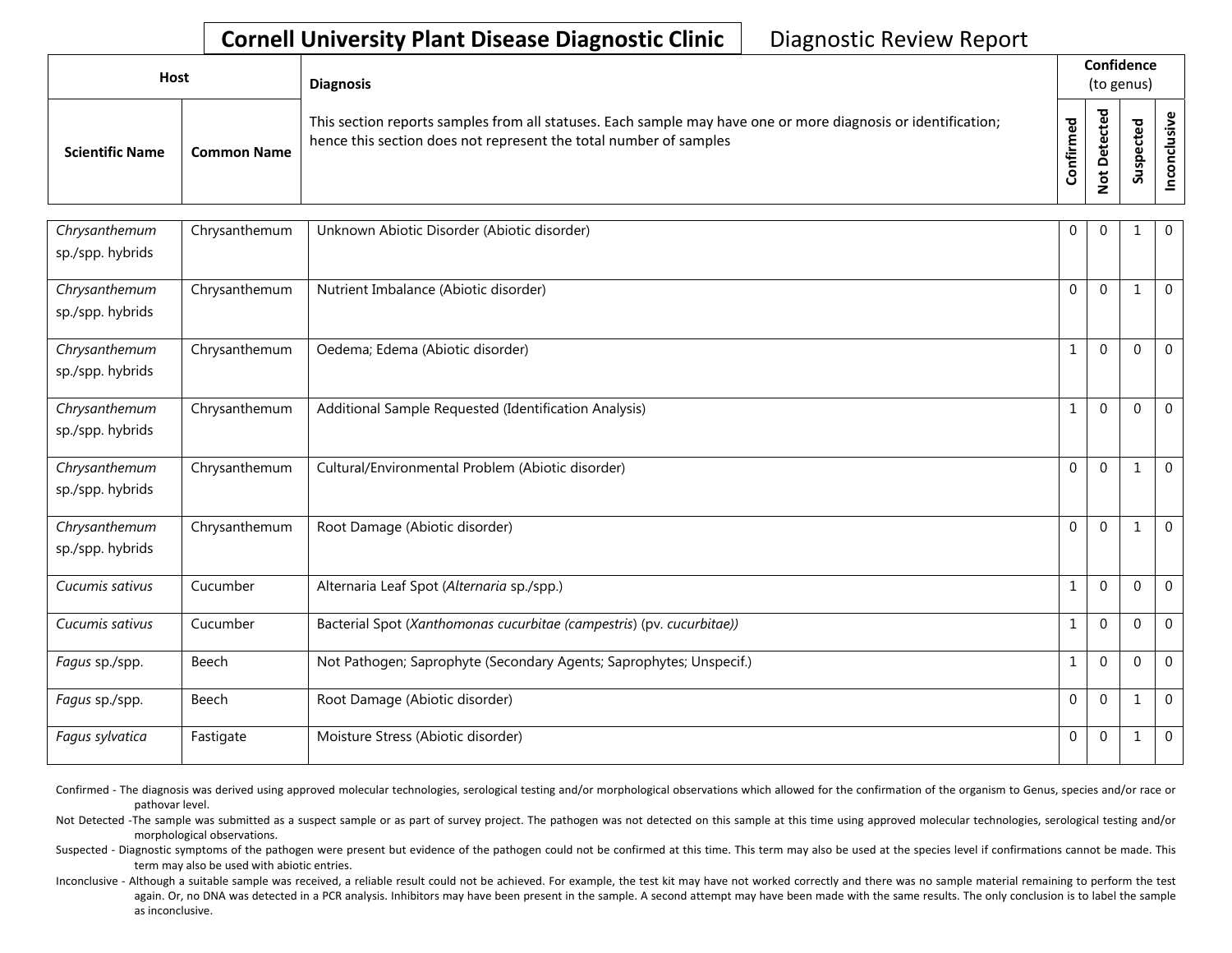| Host                   |                    | <b>Diagnosis</b>                                                                                                                                                                   |                      | Confidence<br>(to genus) |             |  |  |  |  |
|------------------------|--------------------|------------------------------------------------------------------------------------------------------------------------------------------------------------------------------------|----------------------|--------------------------|-------------|--|--|--|--|
| <b>Scientific Name</b> | <b>Common Name</b> | This section reports samples from all statuses. Each sample may have one or more diagnosis or identification;<br>hence this section does not represent the total number of samples | ි<br>ම<br>Ě<br>onfir | ਠ<br>پ<br>t<br><u>g</u>  | ъ<br>∍<br>S |  |  |  |  |

| Chrysanthemum<br>sp./spp. hybrids | Chrysanthemum | Unknown Abiotic Disorder (Abiotic disorder)                           | $\mathbf 0$  | $\Omega$    |                | $\overline{0}$ |
|-----------------------------------|---------------|-----------------------------------------------------------------------|--------------|-------------|----------------|----------------|
| Chrysanthemum<br>sp./spp. hybrids | Chrysanthemum | Nutrient Imbalance (Abiotic disorder)                                 | $\Omega$     | $\Omega$    | $\mathbf{1}$   | $\mathbf 0$    |
| Chrysanthemum<br>sp./spp. hybrids | Chrysanthemum | Oedema; Edema (Abiotic disorder)                                      | $\mathbf{1}$ | $\Omega$    | $\mathbf 0$    | $\mathbf 0$    |
| Chrysanthemum<br>sp./spp. hybrids | Chrysanthemum | Additional Sample Requested (Identification Analysis)                 |              | $\Omega$    | $\Omega$       | $\mathbf{0}$   |
| Chrysanthemum<br>sp./spp. hybrids | Chrysanthemum | Cultural/Environmental Problem (Abiotic disorder)                     | $\Omega$     | $\Omega$    |                | $\mathbf{0}$   |
| Chrysanthemum<br>sp./spp. hybrids | Chrysanthemum | Root Damage (Abiotic disorder)                                        | $\Omega$     | $\Omega$    |                | $\Omega$       |
| Cucumis sativus                   | Cucumber      | Alternaria Leaf Spot (Alternaria sp./spp.)                            | 1            | $\Omega$    | $\mathbf 0$    | $\Omega$       |
| Cucumis sativus                   | Cucumber      | Bacterial Spot (Xanthomonas cucurbitae (campestris) (pv. cucurbitae)) | 1            | $\Omega$    | $\overline{0}$ | $\mathbf 0$    |
| Fagus sp./spp.                    | Beech         | Not Pathogen; Saprophyte (Secondary Agents; Saprophytes; Unspecif.)   | 1            | $\Omega$    | $\mathbf 0$    | $\overline{0}$ |
| Fagus sp./spp.                    | Beech         | Root Damage (Abiotic disorder)                                        | $\Omega$     | $\Omega$    |                | $\mathbf 0$    |
| Fagus sylvatica                   | Fastigate     | Moisture Stress (Abiotic disorder)                                    | $\mathbf 0$  | $\mathbf 0$ | 1              | $\mathbf 0$    |

Confirmed - The diagnosis was derived using approved molecular technologies, serological testing and/or morphological observations which allowed for the confirmation of the organism to Genus, species and/or race or pathovar level.

Not Detected -The sample was submitted as a suspect sample or as part of survey project. The pathogen was not detected on this sample at this time using approved molecular technologies, serological testing and/or morphological observations.

Suspected - Diagnostic symptoms of the pathogen were present but evidence of the pathogen could not be confirmed at this time. This term may also be used at the species level if confirmations cannot be made. This term may also be used with abiotic entries.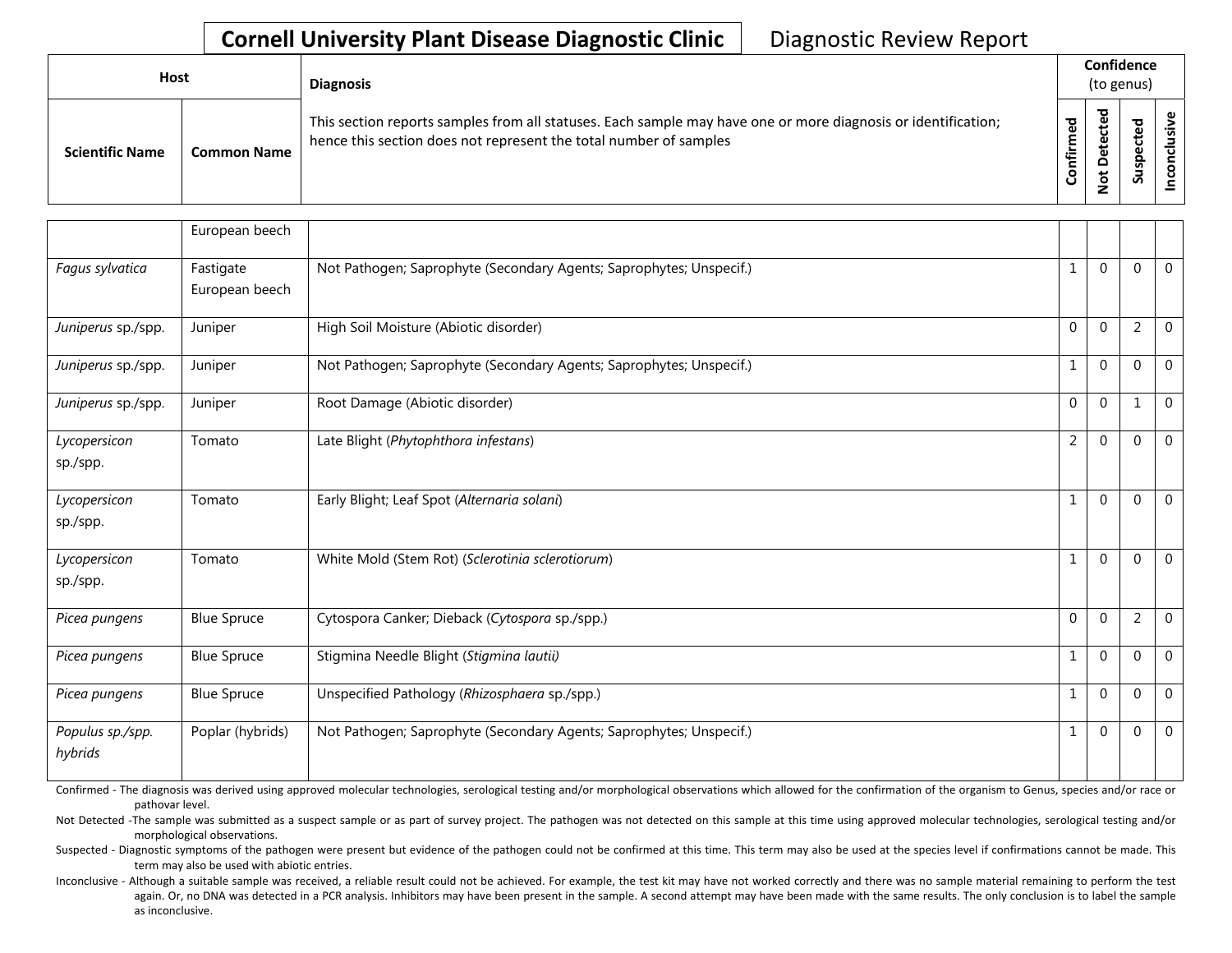| <b>Host</b>            |                    | <b>Diagnosis</b>                                                                                                                                                                   |                 | Confidence<br>(to genus)                              |                          |  |  |  |  |
|------------------------|--------------------|------------------------------------------------------------------------------------------------------------------------------------------------------------------------------------|-----------------|-------------------------------------------------------|--------------------------|--|--|--|--|
| <b>Scientific Name</b> | <b>Common Name</b> | This section reports samples from all statuses. Each sample may have one or more diagnosis or identification;<br>hence this section does not represent the total number of samples | ᇃ<br>Ě<br>onfir | ᅙ<br>உ<br>ں<br>ete<br>$\circ$<br>$\tilde{\mathbf{z}}$ | ਠ<br>et.<br>ga<br>ے<br>S |  |  |  |  |

|                             | European beech              |                                                                     |              |              |                |             |
|-----------------------------|-----------------------------|---------------------------------------------------------------------|--------------|--------------|----------------|-------------|
| Fagus sylvatica             | Fastigate<br>European beech | Not Pathogen; Saprophyte (Secondary Agents; Saprophytes; Unspecif.) | $\mathbf{1}$ | $\Omega$     | $\Omega$       | $\mathbf 0$ |
| Juniperus sp./spp.          | Juniper                     | High Soil Moisture (Abiotic disorder)                               | $\mathbf 0$  | $\Omega$     | $\overline{2}$ | $\mathbf 0$ |
| Juniperus sp./spp.          | Juniper                     | Not Pathogen; Saprophyte (Secondary Agents; Saprophytes; Unspecif.) | $\mathbf{1}$ | $\Omega$     | $\Omega$       | $\Omega$    |
| Juniperus sp./spp.          | Juniper                     | Root Damage (Abiotic disorder)                                      | $\Omega$     | $\Omega$     | 1              | $\Omega$    |
| Lycopersicon<br>sp./spp.    | Tomato                      | Late Blight (Phytophthora infestans)                                | 2            | $\Omega$     | $\Omega$       | $\Omega$    |
| Lycopersicon<br>sp./spp.    | Tomato                      | Early Blight; Leaf Spot (Alternaria solani)                         | $\mathbf{1}$ | $\Omega$     | $\Omega$       | $\Omega$    |
| Lycopersicon<br>sp./spp.    | Tomato                      | White Mold (Stem Rot) (Sclerotinia sclerotiorum)                    | $\mathbf 1$  | $\Omega$     | $\Omega$       | $\Omega$    |
| Picea pungens               | <b>Blue Spruce</b>          | Cytospora Canker; Dieback (Cytospora sp./spp.)                      | $\mathbf{0}$ | $\Omega$     | $\overline{2}$ | $\mathbf 0$ |
| Picea pungens               | <b>Blue Spruce</b>          | Stigmina Needle Blight (Stigmina lautii)                            | $\mathbf{1}$ | $\Omega$     | $\Omega$       | $\Omega$    |
| Picea pungens               | <b>Blue Spruce</b>          | Unspecified Pathology (Rhizosphaera sp./spp.)                       | 1            | $\mathbf{0}$ | $\Omega$       | $\mathbf 0$ |
| Populus sp./spp.<br>hybrids | Poplar (hybrids)            | Not Pathogen; Saprophyte (Secondary Agents; Saprophytes; Unspecif.) | 1            | $\Omega$     | $\Omega$       | $\mathbf 0$ |

Confirmed - The diagnosis was derived using approved molecular technologies, serological testing and/or morphological observations which allowed for the confirmation of the organism to Genus, species and/or race or pathovar level.

Not Detected -The sample was submitted as a suspect sample or as part of survey project. The pathogen was not detected on this sample at this time using approved molecular technologies, serological testing and/or morphological observations.

Suspected - Diagnostic symptoms of the pathogen were present but evidence of the pathogen could not be confirmed at this time. This term may also be used at the species level if confirmations cannot be made. This term may also be used with abiotic entries.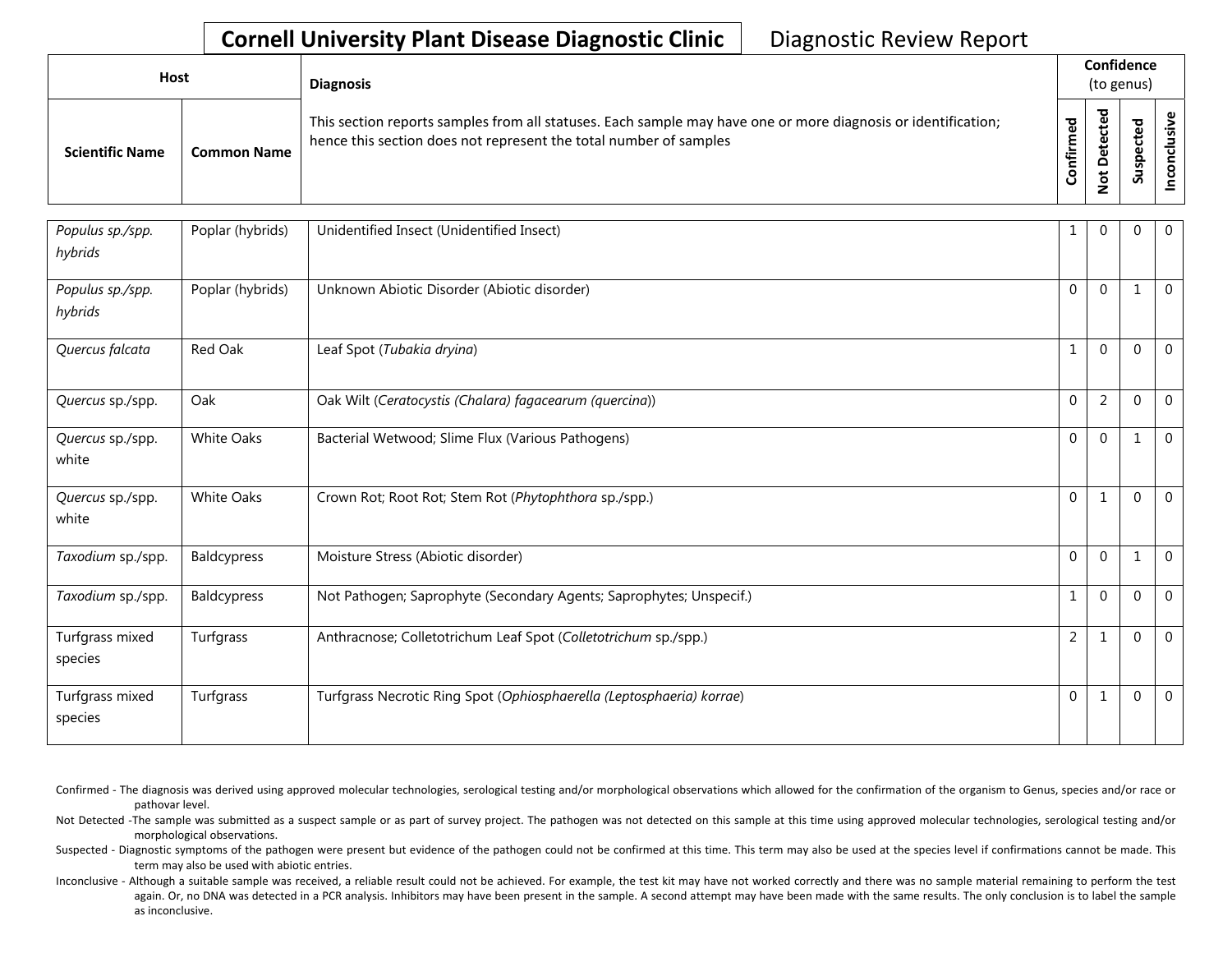| Host                   |                    | <b>Diagnosis</b>                                                                                                                                                                   |          | Confidence<br>(to genus)     |                                    |          |  |  |
|------------------------|--------------------|------------------------------------------------------------------------------------------------------------------------------------------------------------------------------------|----------|------------------------------|------------------------------------|----------|--|--|
| <b>Scientific Name</b> | <b>Common Name</b> | This section reports samples from all statuses. Each sample may have one or more diagnosis or identification;<br>hence this section does not represent the total number of samples | ਠ<br>tir | ᇃ<br>Φ<br>۵<br>ى<br><u>و</u> | ᇃ<br>Φ<br>ں<br>്ധ<br>gsr<br>۔<br>S | <u>ی</u> |  |  |

| Populus sp./spp.<br>hybrids | Poplar (hybrids)  | Unidentified Insect (Unidentified Insect)                             | 1              | $\Omega$       | $\mathbf 0$ | $\mathbf 0$    |
|-----------------------------|-------------------|-----------------------------------------------------------------------|----------------|----------------|-------------|----------------|
| Populus sp./spp.<br>hybrids | Poplar (hybrids)  | Unknown Abiotic Disorder (Abiotic disorder)                           | $\Omega$       | $\Omega$       |             | $\mathbf{0}$   |
| Quercus falcata             | Red Oak           | Leaf Spot (Tubakia dryina)                                            |                | $\Omega$       | $\mathbf 0$ | $\mathbf 0$    |
| Quercus sp./spp.            | Oak               | Oak Wilt (Ceratocystis (Chalara) fagacearum (quercina))               | $\mathbf 0$    | $\overline{2}$ | $\mathbf 0$ | $\mathbf 0$    |
| Quercus sp./spp.<br>white   | <b>White Oaks</b> | Bacterial Wetwood; Slime Flux (Various Pathogens)                     | $\Omega$       | $\Omega$       |             | $\mathbf{0}$   |
| Quercus sp./spp.<br>white   | White Oaks        | Crown Rot; Root Rot; Stem Rot (Phytophthora sp./spp.)                 | $\Omega$       | $\mathbf{1}$   | $\Omega$    | $\overline{0}$ |
| Taxodium sp./spp.           | Baldcypress       | Moisture Stress (Abiotic disorder)                                    | $\Omega$       | $\Omega$       |             | $\mathbf{0}$   |
| Taxodium sp./spp.           | Baldcypress       | Not Pathogen; Saprophyte (Secondary Agents; Saprophytes; Unspecif.)   |                | $\Omega$       | $\theta$    | $\mathbf 0$    |
| Turfgrass mixed<br>species  | Turfgrass         | Anthracnose; Colletotrichum Leaf Spot (Colletotrichum sp./spp.)       | $\overline{2}$ | 1              | 0           | $\overline{0}$ |
| Turfgrass mixed<br>species  | Turfgrass         | Turfgrass Necrotic Ring Spot (Ophiosphaerella (Leptosphaeria) korrae) | $\Omega$       | $\mathbf{1}$   | $\theta$    | $\Omega$       |

Confirmed - The diagnosis was derived using approved molecular technologies, serological testing and/or morphological observations which allowed for the confirmation of the organism to Genus, species and/or race or pathovar level.

Not Detected -The sample was submitted as a suspect sample or as part of survey project. The pathogen was not detected on this sample at this time using approved molecular technologies, serological testing and/or morphological observations.

Suspected - Diagnostic symptoms of the pathogen were present but evidence of the pathogen could not be confirmed at this time. This term may also be used at the species level if confirmations cannot be made. This term may also be used with abiotic entries.